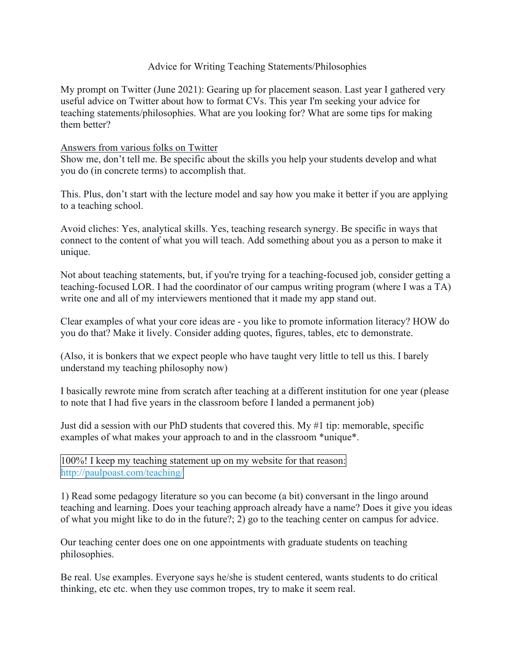## Advice for Writing Teaching Statements/Philosophies

My prompt on Twitter (June 2021): Gearing up for placement season. Last year I gathered very useful advice on Twitter about how to format CVs. This year I'm seeking your advice for teaching statements/philosophies. What are you looking for? What are some tips for making them better?

## Answers from various folks on Twitter

Show me, don't tell me. Be specific about the skills you help your students develop and what you do (in concrete terms) to accomplish that.

This. Plus, don't start with the lecture model and say how you make it better if you are applying to a teaching school.

Avoid cliches: Yes, analytical skills. Yes, teaching research synergy. Be specific in ways that connect to the content of what you will teach. Add something about you as a person to make it unique.

Not about teaching statements, but, if you're trying for a teaching-focused job, consider getting a teaching-focused LOR. I had the coordinator of our campus writing program (where I was a TA) write one and all of my interviewers mentioned that it made my app stand out.

Clear examples of what your core ideas are - you like to promote information literacy? HOW do you do that? Make it lively. Consider adding quotes, figures, tables, etc to demonstrate.

(Also, it is bonkers that we expect people who have taught very little to tell us this. I barely understand my teaching philosophy now)

I basically rewrote mine from scratch after teaching at a different institution for one year (please to note that I had five years in the classroom before I landed a permanent job)

Just did a session with our PhD students that covered this. My #1 tip: memorable, specific examples of what makes your approach to and in the classroom \*unique\*.

100%! I keep my teaching statement up on my website for that reason: [http://paulpoast.com/teaching/](https://t.co/m3Qh72spqJ?amp=1)

1) Read some pedagogy literature so you can become (a bit) conversant in the lingo around teaching and learning. Does your teaching approach already have a name? Does it give you ideas of what you might like to do in the future?; 2) go to the teaching center on campus for advice.

Our teaching center does one on one appointments with graduate students on teaching philosophies.

Be real. Use examples. Everyone says he/she is student centered, wants students to do critical thinking, etc etc. when they use common tropes, try to make it seem real.